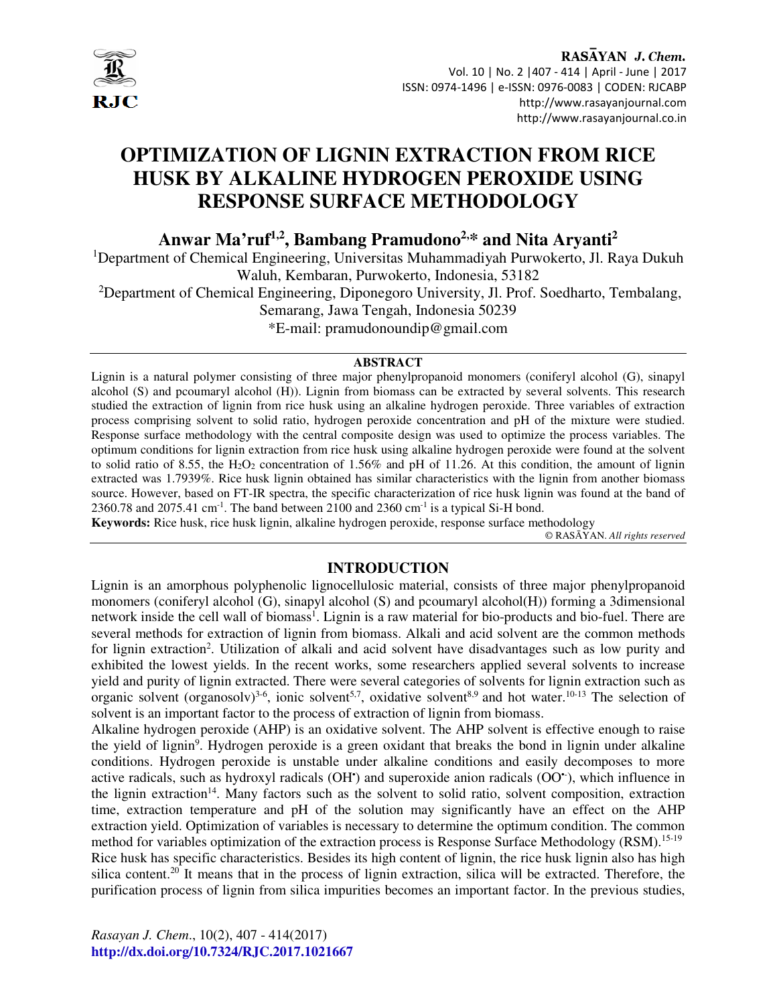

# **OPTIMIZATION OF LIGNIN EXTRACTION FROM RICE HUSK BY ALKALINE HYDROGEN PEROXIDE USING RESPONSE SURFACE METHODOLOGY**

**Anwar Ma'ruf1,2, Bambang Pramudono2,\* and Nita Aryanti<sup>2</sup>**

<sup>1</sup>Department of Chemical Engineering, Universitas Muhammadiyah Purwokerto, Jl. Raya Dukuh Waluh, Kembaran, Purwokerto, Indonesia, 53182

<sup>2</sup>Department of Chemical Engineering, Diponegoro University, Jl. Prof. Soedharto, Tembalang,

Semarang, Jawa Tengah, Indonesia 50239

\*E-mail: pramudonoundip@gmail.com

### **ABSTRACT**

Lignin is a natural polymer consisting of three major phenylpropanoid monomers (coniferyl alcohol (G), sinapyl alcohol (S) and pcoumaryl alcohol (H)). Lignin from biomass can be extracted by several solvents. This research studied the extraction of lignin from rice husk using an alkaline hydrogen peroxide. Three variables of extraction process comprising solvent to solid ratio, hydrogen peroxide concentration and pH of the mixture were studied. Response surface methodology with the central composite design was used to optimize the process variables. The optimum conditions for lignin extraction from rice husk using alkaline hydrogen peroxide were found at the solvent to solid ratio of 8.55, the  $H_2O_2$  concentration of 1.56% and pH of 11.26. At this condition, the amount of lignin extracted was 1.7939%. Rice husk lignin obtained has similar characteristics with the lignin from another biomass source. However, based on FT-IR spectra, the specific characterization of rice husk lignin was found at the band of  $2360.78$  and  $2075.41$  cm<sup>-1</sup>. The band between 2100 and 2360 cm<sup>-1</sup> is a typical Si-H bond.

**Keywords:** Rice husk, rice husk lignin, alkaline hydrogen peroxide, response surface methodology

© RASĀYAN. *All rights reserved*

# **INTRODUCTION**

Lignin is an amorphous polyphenolic lignocellulosic material, consists of three major phenylpropanoid monomers (coniferyl alcohol (G), sinapyl alcohol (S) and pcoumaryl alcohol(H)) forming a 3dimensional network inside the cell wall of biomass<sup>1</sup>. Lignin is a raw material for bio-products and bio-fuel. There are several methods for extraction of lignin from biomass. Alkali and acid solvent are the common methods for lignin extraction<sup>2</sup>. Utilization of alkali and acid solvent have disadvantages such as low purity and exhibited the lowest yields. In the recent works, some researchers applied several solvents to increase yield and purity of lignin extracted. There were several categories of solvents for lignin extraction such as organic solvent (organosolv)<sup>3-6</sup>, ionic solvent<sup>5,7</sup>, oxidative solvent<sup>8,9</sup> and hot water.<sup>10-13</sup> The selection of solvent is an important factor to the process of extraction of lignin from biomass.

Alkaline hydrogen peroxide (AHP) is an oxidative solvent. The AHP solvent is effective enough to raise the yield of lignin<sup>9</sup>. Hydrogen peroxide is a green oxidant that breaks the bond in lignin under alkaline conditions. Hydrogen peroxide is unstable under alkaline conditions and easily decomposes to more active radicals, such as hydroxyl radicals (OH') and superoxide anion radicals (OO'), which influence in the lignin extraction<sup>14</sup>. Many factors such as the solvent to solid ratio, solvent composition, extraction time, extraction temperature and pH of the solution may significantly have an effect on the AHP extraction yield. Optimization of variables is necessary to determine the optimum condition. The common method for variables optimization of the extraction process is Response Surface Methodology (RSM).<sup>15-19</sup> Rice husk has specific characteristics. Besides its high content of lignin, the rice husk lignin also has high silica content.<sup>20</sup> It means that in the process of lignin extraction, silica will be extracted. Therefore, the purification process of lignin from silica impurities becomes an important factor. In the previous studies,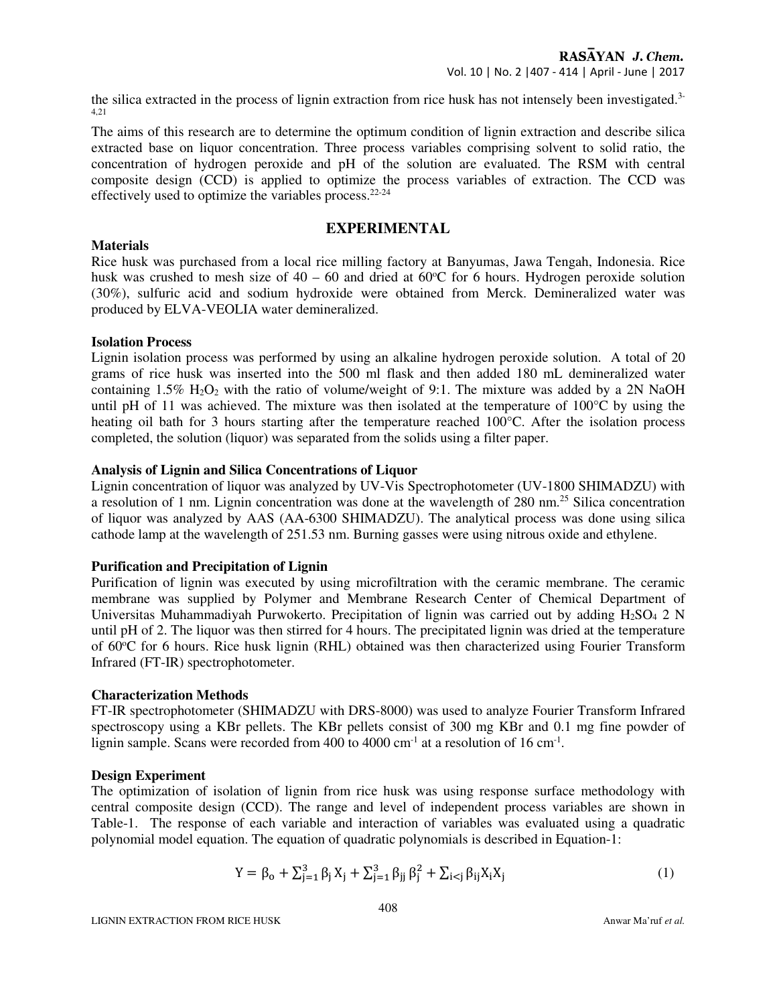the silica extracted in the process of lignin extraction from rice husk has not intensely been investigated.3- 4,21

The aims of this research are to determine the optimum condition of lignin extraction and describe silica extracted base on liquor concentration. Three process variables comprising solvent to solid ratio, the concentration of hydrogen peroxide and pH of the solution are evaluated. The RSM with central composite design (CCD) is applied to optimize the process variables of extraction. The CCD was effectively used to optimize the variables process. $22-24$ 

## **EXPERIMENTAL**

#### **Materials**

Rice husk was purchased from a local rice milling factory at Banyumas, Jawa Tengah, Indonesia. Rice husk was crushed to mesh size of  $40 - 60$  and dried at  $60^{\circ}$ C for 6 hours. Hydrogen peroxide solution (30%), sulfuric acid and sodium hydroxide were obtained from Merck. Demineralized water was produced by ELVA-VEOLIA water demineralized.

### **Isolation Process**

Lignin isolation process was performed by using an alkaline hydrogen peroxide solution. A total of 20 grams of rice husk was inserted into the 500 ml flask and then added 180 mL demineralized water containing  $1.5\%$  H<sub>2</sub>O<sub>2</sub> with the ratio of volume/weight of 9:1. The mixture was added by a 2N NaOH until pH of 11 was achieved. The mixture was then isolated at the temperature of  $100^{\circ}$ C by using the heating oil bath for 3 hours starting after the temperature reached 100°C. After the isolation process completed, the solution (liquor) was separated from the solids using a filter paper.

### **Analysis of Lignin and Silica Concentrations of Liquor**

Lignin concentration of liquor was analyzed by UV-Vis Spectrophotometer (UV-1800 SHIMADZU) with a resolution of 1 nm. Lignin concentration was done at the wavelength of 280 nm.<sup>25</sup> Silica concentration of liquor was analyzed by AAS (AA-6300 SHIMADZU). The analytical process was done using silica cathode lamp at the wavelength of 251.53 nm. Burning gasses were using nitrous oxide and ethylene.

### **Purification and Precipitation of Lignin**

Purification of lignin was executed by using microfiltration with the ceramic membrane. The ceramic membrane was supplied by Polymer and Membrane Research Center of Chemical Department of Universitas Muhammadiyah Purwokerto. Precipitation of lignin was carried out by adding H<sub>2</sub>SO<sub>4</sub> 2 N until pH of 2. The liquor was then stirred for 4 hours. The precipitated lignin was dried at the temperature of 60 °C for 6 hours. Rice husk lignin (RHL) obtained was then characterized using Fourier Transform Infrared (FT-IR) spectrophotometer.

### **Characterization Methods**

FT-IR spectrophotometer (SHIMADZU with DRS-8000) was used to analyze Fourier Transform Infrared spectroscopy using a KBr pellets. The KBr pellets consist of 300 mg KBr and 0.1 mg fine powder of lignin sample. Scans were recorded from 400 to 4000  $cm^{-1}$  at a resolution of 16  $cm^{-1}$ .

### **Design Experiment**

The optimization of isolation of lignin from rice husk was using response surface methodology with central composite design (CCD). The range and level of independent process variables are shown in Table-1. The response of each variable and interaction of variables was evaluated using a quadratic polynomial model equation. The equation of quadratic polynomials is described in Equation-1:

$$
Y = \beta_0 + \sum_{j=1}^{3} \beta_j X_j + \sum_{j=1}^{3} \beta_{jj} \beta_j^2 + \sum_{i < j} \beta_{ij} X_i X_j \tag{1}
$$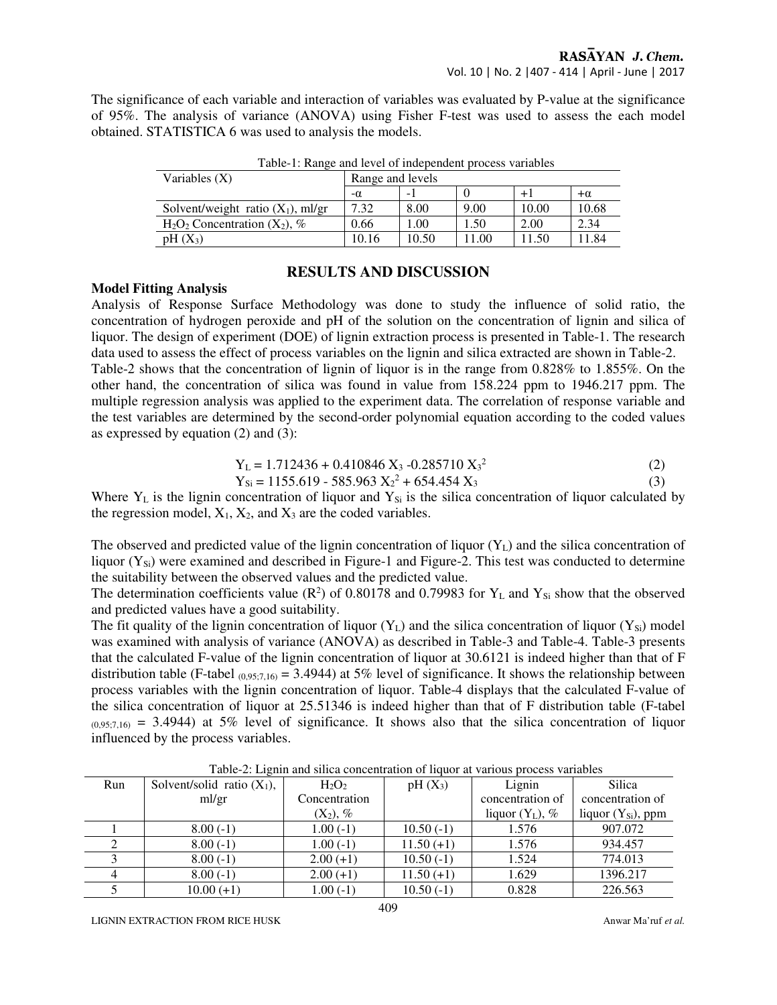The significance of each variable and interaction of variables was evaluated by P-value at the significance of 95%. The analysis of variance (ANOVA) using Fisher F-test was used to assess the each model obtained. STATISTICA 6 was used to analysis the models.

| Variables $(X)$                      | Range and levels |       |      |       |           |  |
|--------------------------------------|------------------|-------|------|-------|-----------|--|
|                                      | $-\alpha$        | - 1   |      |       | $+\alpha$ |  |
| Solvent/weight ratio $(X_1)$ , ml/gr | 7.32             | 8.00  | 9.00 | 10.00 | 10.68     |  |
| $H_2O_2$ Concentration $(X_2)$ , %   | 0.66             | .00   | 1.50 | 2.00  | 2.34      |  |
| $pH(X_3)$                            | 10.16            | 10.50 | 1.00 | 11.50 | 1.84      |  |

Table-1: Range and level of independent process variables

# **RESULTS AND DISCUSSION**

### **Model Fitting Analysis**

Analysis of Response Surface Methodology was done to study the influence of solid ratio, the concentration of hydrogen peroxide and pH of the solution on the concentration of lignin and silica of liquor. The design of experiment (DOE) of lignin extraction process is presented in Table-1. The research data used to assess the effect of process variables on the lignin and silica extracted are shown in Table-2. Table-2 shows that the concentration of lignin of liquor is in the range from 0.828% to 1.855%. On the other hand, the concentration of silica was found in value from 158.224 ppm to 1946.217 ppm. The multiple regression analysis was applied to the experiment data. The correlation of response variable and the test variables are determined by the second-order polynomial equation according to the coded values as expressed by equation (2) and (3):

$$
Y_{L} = 1.712436 + 0.410846 X_3 - 0.285710 X_3^{2}
$$
 (2)

$$
Y_{Si} = 1155.619 - 585.963 X_2^2 + 654.454 X_3
$$
 (3)

Where  $Y_L$  is the lignin concentration of liquor and  $Y_{Si}$  is the silica concentration of liquor calculated by the regression model,  $X_1$ ,  $X_2$ , and  $X_3$  are the coded variables.

The observed and predicted value of the lignin concentration of liquor  $(Y_L)$  and the silica concentration of liquor  $(Y_{Si})$  were examined and described in Figure-1 and Figure-2. This test was conducted to determine the suitability between the observed values and the predicted value.

The determination coefficients value ( $\mathbb{R}^2$ ) of 0.80178 and 0.79983 for Y<sub>L</sub> and Y<sub>Si</sub> show that the observed and predicted values have a good suitability.

The fit quality of the lignin concentration of liquor  $(Y_L)$  and the silica concentration of liquor  $(Y_{Si})$  model was examined with analysis of variance (ANOVA) as described in Table-3 and Table-4. Table-3 presents that the calculated F-value of the lignin concentration of liquor at 30.6121 is indeed higher than that of F distribution table (F-tabel  $_{(0,95;7,16)} = 3.4944$ ) at 5% level of significance. It shows the relationship between process variables with the lignin concentration of liquor. Table-4 displays that the calculated F-value of the silica concentration of liquor at 25.51346 is indeed higher than that of F distribution table (F-tabel  $(0.95,7,16) = 3.4944$ ) at 5% level of significance. It shows also that the silica concentration of liquor influenced by the process variables.

| Run | Solvent/solid ratio $(X_1)$ , | $H_2O_2$      | $pH(X_3)$   | Lignin             | <b>Silica</b>           |
|-----|-------------------------------|---------------|-------------|--------------------|-------------------------|
|     | ml/gr                         | Concentration |             | concentration of   | concentration of        |
|     |                               | $(X_2)$ , %   |             | liquor $(Y_L)$ , % | liquor $(Y_{Si})$ , ppm |
|     | $8.00(-1)$                    | $1.00(-1)$    | $10.50(-1)$ | 1.576              | 907.072                 |
|     | $8.00(-1)$                    | $1.00(-1)$    | $11.50(+1)$ | 1.576              | 934.457                 |
|     | $8.00(-1)$                    | $2.00(+1)$    | $10.50(-1)$ | 1.524              | 774.013                 |
|     | $8.00(-1)$                    | $2.00(+1)$    | $11.50(+1)$ | 1.629              | 1396.217                |
|     | $10.00 (+1)$                  | $1.00(-1)$    | $10.50(-1)$ | 0.828              | 226.563                 |

Table-2: Lignin and silica concentration of liquor at various process variables

LIGNIN EXTRACTION FROM RICE HUSK **Anwar Ma**'ruf *et al.* Anwar Ma'ruf *et al.* Anwar Ma'ruf *et al.*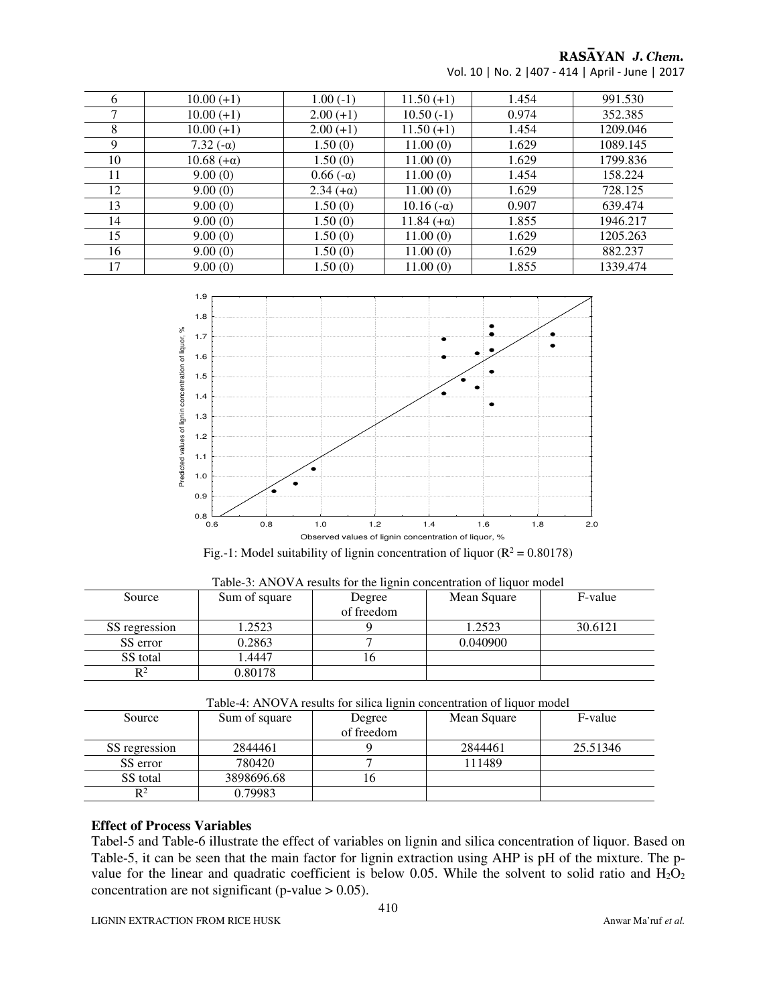# RASAYAN J. Chem.

| 6  | $10.00 (+1)$      | $1.00(-1)$       | $11.50(+1)$       | 1.454 | 991.530  |
|----|-------------------|------------------|-------------------|-------|----------|
| ⇁  | $10.00 (+1)$      | $2.00(+1)$       | $10.50(-1)$       | 0.974 | 352.385  |
| 8  | $10.00 (+1)$      | $2.00(+1)$       | $11.50(+1)$       | 1.454 | 1209.046 |
| 9  | 7.32 $(-\alpha)$  | 1.50(0)          | 11.00(0)          | 1.629 | 1089.145 |
| 10 | $10.68 (+\alpha)$ | 1.50(0)          | 11.00(0)          | 1.629 | 1799.836 |
| 11 | 9.00(0)           | $0.66(-\alpha)$  | 11.00(0)          | 1.454 | 158.224  |
| 12 | 9.00(0)           | $2.34 (+\alpha)$ | 11.00(0)          | 1.629 | 728.125  |
| 13 | 9.00(0)           | 1.50(0)          | $10.16(-\alpha)$  | 0.907 | 639.474  |
| 14 | 9.00(0)           | 1.50(0)          | $11.84 (+\alpha)$ | 1.855 | 1946.217 |
| 15 | 9.00(0)           | 1.50(0)          | 11.00(0)          | 1.629 | 1205.263 |
| 16 | 9.00(0)           | 1.50(0)          | 11.00(0)          | 1.629 | 882.237  |
| 17 | 9.00(0)           | 1.50(0)          | 11.00(0)          | 1.855 | 1339.474 |

Vol. 10 | No. 2 |407 - 414 | April - June | 2017



| $15.$ T. Model summarily of fight concentration of figuor $(x - 0.00170)$ |  |  |
|---------------------------------------------------------------------------|--|--|
|                                                                           |  |  |

| Table-3: ANOVA results for the lignin concentration of liquor model |               |            |             |         |  |
|---------------------------------------------------------------------|---------------|------------|-------------|---------|--|
| Source                                                              | Sum of square | Degree     | Mean Square | F-value |  |
|                                                                     |               | of freedom |             |         |  |
| SS regression                                                       | 1.2523        |            | 1.2523      | 30.6121 |  |
| SS error                                                            | 0.2863        |            | 0.040900    |         |  |
| SS total                                                            | L.4447        |            |             |         |  |
| $R^2$                                                               | 0.80178       |            |             |         |  |

|  | Table-4: ANOVA results for silica lignin concentration of liquor model |  |  |
|--|------------------------------------------------------------------------|--|--|
|  |                                                                        |  |  |

| Source         | Sum of square | Degree     | Mean Square | F-value  |
|----------------|---------------|------------|-------------|----------|
|                |               | of freedom |             |          |
| SS regression  | 2844461       |            | 2844461     | 25.51346 |
| SS error       | 780420        |            | 111489      |          |
| SS total       | 3898696.68    |            |             |          |
| D <sub>2</sub> | 0.79983       |            |             |          |

### **Effect of Process Variables**

Tabel-5 and Table-6 illustrate the effect of variables on lignin and silica concentration of liquor. Based on Table-5, it can be seen that the main factor for lignin extraction using AHP is pH of the mixture. The pvalue for the linear and quadratic coefficient is below 0.05. While the solvent to solid ratio and  $H_2O_2$ concentration are not significant (p-value  $> 0.05$ ).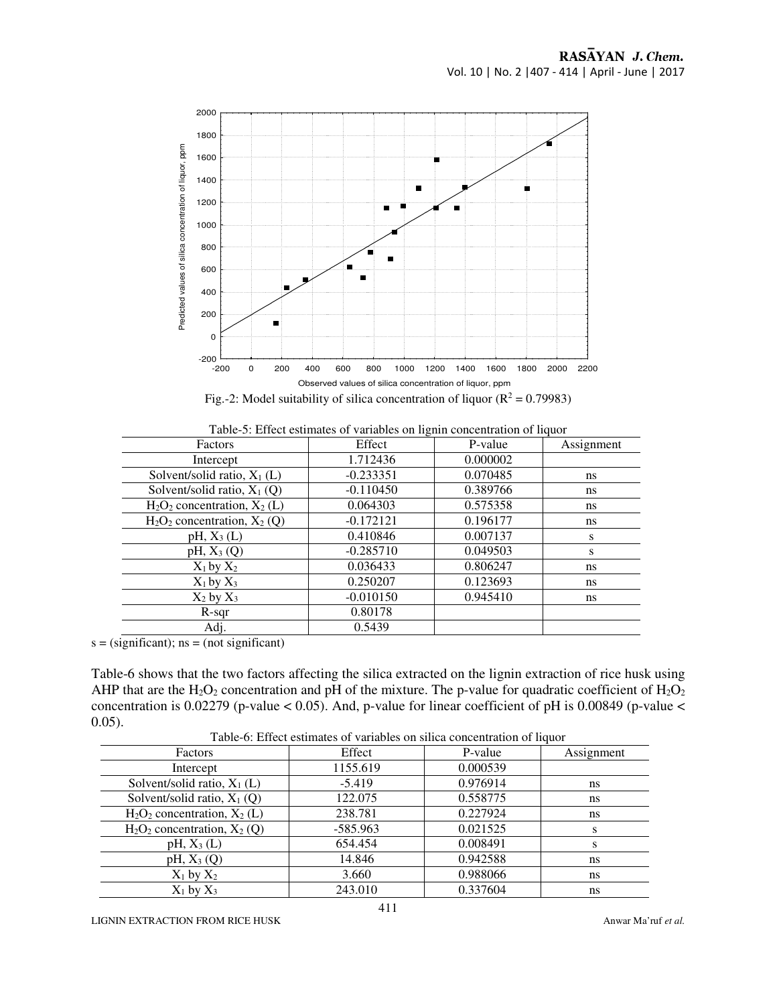

Fig.-2: Model suitability of silica concentration of liquor ( $\mathbb{R}^2 = 0.79983$ )

| Factors                          | Effect      | P-value  | Assignment |
|----------------------------------|-------------|----------|------------|
| Intercept                        | 1.712436    | 0.000002 |            |
| Solvent/solid ratio, $X_1(L)$    | $-0.233351$ | 0.070485 | ns         |
| Solvent/solid ratio, $X_1(Q)$    | $-0.110450$ | 0.389766 | ns         |
| $H_2O_2$ concentration, $X_2(L)$ | 0.064303    | 0.575358 | ns.        |
| $H_2O_2$ concentration, $X_2(Q)$ | $-0.172121$ | 0.196177 | ns         |
| $pH, X_3(L)$                     | 0.410846    | 0.007137 | S          |
| $pH, X_3(Q)$                     | $-0.285710$ | 0.049503 | s          |
| $X_1$ by $X_2$                   | 0.036433    | 0.806247 | ns         |
| $X_1$ by $X_3$                   | 0.250207    | 0.123693 | ns         |
| $X_2$ by $X_3$                   | $-0.010150$ | 0.945410 | ns.        |
| $R$ -sqr                         | 0.80178     |          |            |
| Adj.                             | 0.5439      |          |            |

Table-5: Effect estimates of variables on lignin concentration of liquor

 $s = (significant);$   $ns = (not significant)$ 

Table-6 shows that the two factors affecting the silica extracted on the lignin extraction of rice husk using AHP that are the  $H_2O_2$  concentration and pH of the mixture. The p-value for quadratic coefficient of  $H_2O_2$ concentration is  $0.02279$  (p-value < 0.05). And, p-value for linear coefficient of pH is  $0.00849$  (p-value < 0.05).

| Tuolo of Effect commutes of Turnteres on sincu concentration of hydrol |            |          |            |  |  |
|------------------------------------------------------------------------|------------|----------|------------|--|--|
| <b>Factors</b>                                                         | Effect     | P-value  | Assignment |  |  |
| Intercept                                                              | 1155.619   | 0.000539 |            |  |  |
| Solvent/solid ratio, $X_1(L)$                                          | $-5.419$   | 0.976914 | ns         |  |  |
| Solvent/solid ratio, $X_1(Q)$                                          | 122.075    | 0.558775 | ns         |  |  |
| $H_2O_2$ concentration, $X_2$ (L)                                      | 238.781    | 0.227924 | ns         |  |  |
| $H_2O_2$ concentration, $X_2$ (Q)                                      | $-585.963$ | 0.021525 |            |  |  |
| $pH, X_3(L)$                                                           | 654.454    | 0.008491 |            |  |  |
| $pH, X_3(Q)$                                                           | 14.846     | 0.942588 | ns         |  |  |
| $X_1$ by $X_2$                                                         | 3.660      | 0.988066 | ns         |  |  |
| $X_1$ by $X_3$                                                         | 243.010    | 0.337604 | ns         |  |  |

Table-6: Effect estimates of variables on silica concentration of liquor

LIGNIN EXTRACTION FROM RICE HUSK Anwar Ma<sup>'ruf</sup> *et al.* Anwar Ma'ruf *et al.* Anwar Ma'ruf *et al.*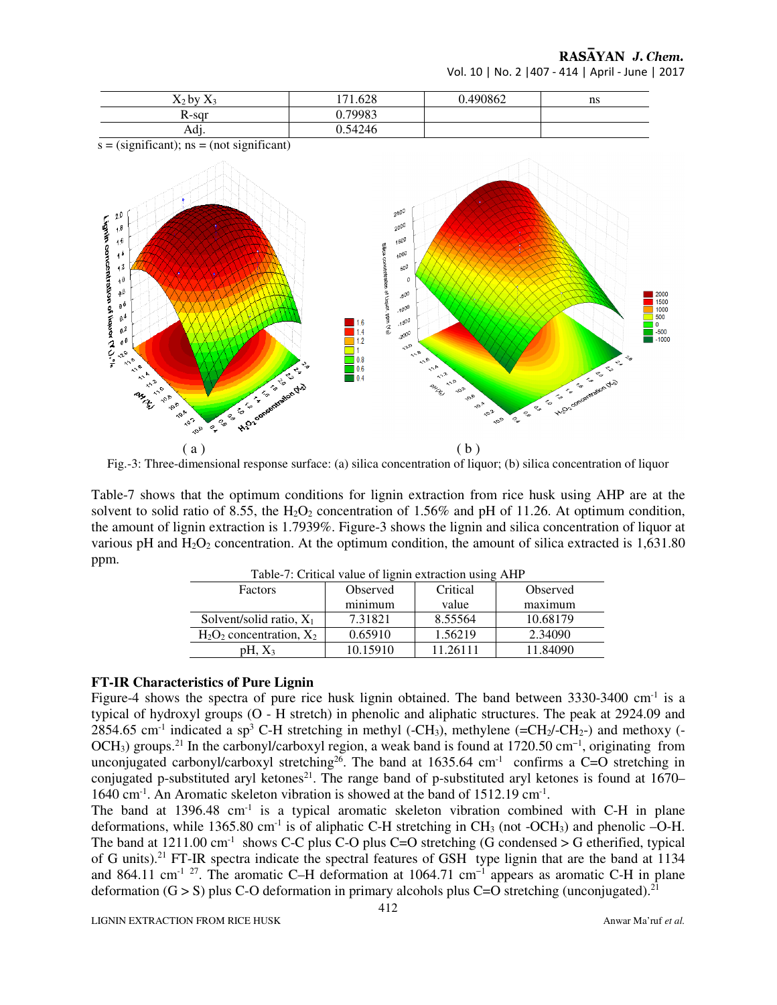RASAYAN J. Chem.

Vol. 10 | No. 2 |407 - 414 | April - June | 2017



Fig.-3: Three-dimensional response surface: (a) silica concentration of liquor; (b) silica concentration of liquor

Table-7 shows that the optimum conditions for lignin extraction from rice husk using AHP are at the solvent to solid ratio of 8.55, the  $H_2O_2$  concentration of 1.56% and pH of 11.26. At optimum condition, the amount of lignin extraction is 1.7939%. Figure-3 shows the lignin and silica concentration of liquor at various pH and  $H_2O_2$  concentration. At the optimum condition, the amount of silica extracted is 1,631.80 ppm.

| Table-7: Critical value of lignin extraction using AHP |          |          |          |  |  |
|--------------------------------------------------------|----------|----------|----------|--|--|
| Factors                                                | Observed | Critical | Observed |  |  |
|                                                        | minimum  | value    | maximum  |  |  |
| Solvent/solid ratio, $X_1$                             | 7.31821  | 8.55564  | 10.68179 |  |  |
| $H_2O_2$ concentration, $X_2$                          | 0.65910  | 1.56219  | 2.34090  |  |  |
| $pH, X_3$                                              | 10.15910 | 11.26111 | 11.84090 |  |  |

#### **FT-IR Characteristics of Pure Lignin**

Figure-4 shows the spectra of pure rice husk lignin obtained. The band between  $3330-3400$  cm<sup>-1</sup> is a typical of hydroxyl groups (O - H stretch) in phenolic and aliphatic structures. The peak at 2924.09 and 2854.65 cm<sup>-1</sup> indicated a sp<sup>3</sup> C-H stretching in methyl (-CH<sub>3</sub>), methylene (=CH<sub>2</sub>/-CH<sub>2</sub>-) and methoxy (-OCH<sub>3</sub>) groups.<sup>21</sup> In the carbonyl/carboxyl region, a weak band is found at 1720.50 cm<sup>-1</sup>, originating from unconjugated carbonyl/carboxyl stretching<sup>26</sup>. The band at 1635.64 cm<sup>-1</sup> confirms a C=O stretching in conjugated p-substituted aryl ketones<sup>21</sup>. The range band of p-substituted aryl ketones is found at 1670– 1640 cm<sup>-1</sup>. An Aromatic skeleton vibration is showed at the band of 1512.19 cm<sup>-1</sup>.

The band at  $1396.48$  cm<sup>-1</sup> is a typical aromatic skeleton vibration combined with C-H in plane deformations, while 1365.80 cm<sup>-1</sup> is of aliphatic C-H stretching in CH<sub>3</sub> (not -OCH<sub>3</sub>) and phenolic  $-Q-H$ . The band at  $1211.00 \text{ cm}^{-1}$  shows C-C plus C-O plus C=O stretching (G condensed > G etherified, typical of G units).<sup>21</sup> FT-IR spectra indicate the spectral features of GSH type lignin that are the band at 1134 and 864.11 cm<sup>-1 27</sup>. The aromatic C–H deformation at 1064.71 cm<sup>-1</sup> appears as aromatic C-H in plane deformation (G > S) plus C-O deformation in primary alcohols plus C=O stretching (unconjugated).<sup>21</sup>

LIGNIN EXTRACTION FROM RICE HUSK **Anwar Ma**'ruf *et al.* Anwar Ma'ruf *et al.* Anwar Ma'ruf *et al.*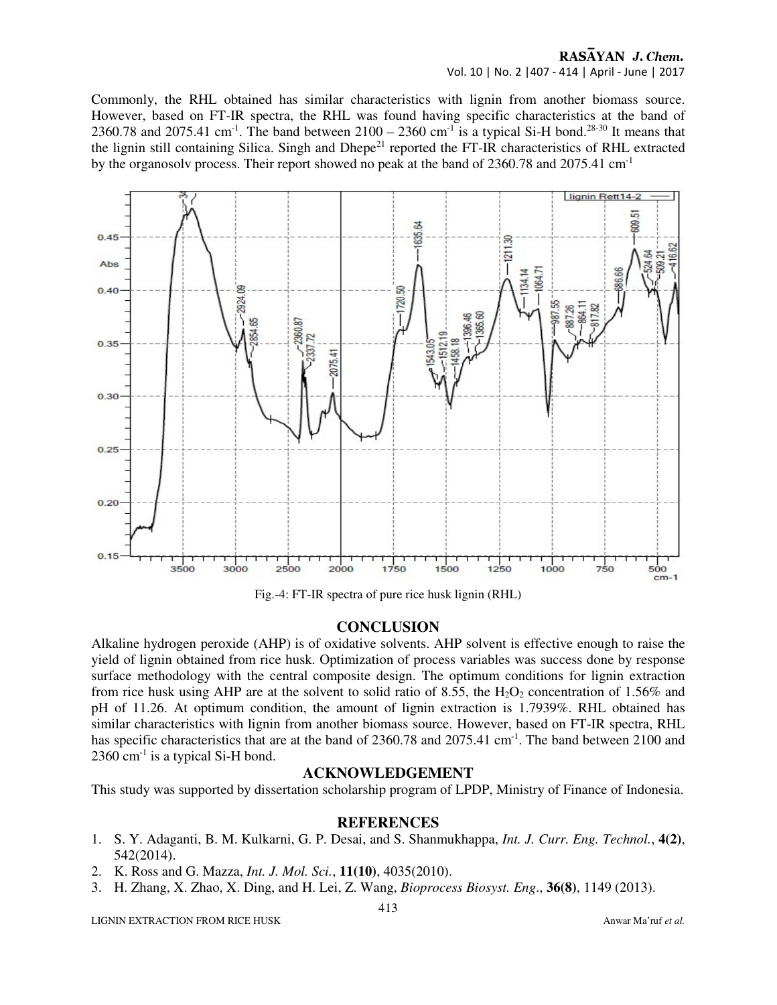### RASAYAN J. Chem. Vol. 10 | No. 2 |407 - 414 | April - June | 2017

Commonly, the RHL obtained has similar characteristics with lignin from another biomass source. However, based on FT-IR spectra, the RHL was found having specific characteristics at the band of 2360.78 and 2075.41 cm<sup>-1</sup>. The band between  $2100 - 2360$  cm<sup>-1</sup> is a typical Si-H bond.<sup>28-30</sup> It means that the lignin still containing Silica. Singh and Dhepe<sup>21</sup> reported the FT-IR characteristics of RHL extracted by the organosoly process. Their report showed no peak at the band of  $2360.78$  and  $2075.41$  cm<sup>-1</sup>



Fig.-4: FT-IR spectra of pure rice husk lignin (RHL)

### **CONCLUSION**

Alkaline hydrogen peroxide (AHP) is of oxidative solvents. AHP solvent is effective enough to raise the yield of lignin obtained from rice husk. Optimization of process variables was success done by response surface methodology with the central composite design. The optimum conditions for lignin extraction from rice husk using AHP are at the solvent to solid ratio of 8.55, the  $H_2O_2$  concentration of 1.56% and pH of 11.26. At optimum condition, the amount of lignin extraction is 1.7939%. RHL obtained has similar characteristics with lignin from another biomass source. However, based on FT-IR spectra, RHL has specific characteristics that are at the band of 2360.78 and 2075.41 cm<sup>-1</sup>. The band between 2100 and  $2360$  cm<sup>-1</sup> is a typical Si-H bond.

#### **ACKNOWLEDGEMENT**

This study was supported by dissertation scholarship program of LPDP, Ministry of Finance of Indonesia.

### **REFERENCES**

- 1. S. Y. Adaganti, B. M. Kulkarni, G. P. Desai, and S. Shanmukhappa, *Int. J. Curr. Eng. Technol.*, **4(2)**, 542(2014).
- 2. K. Ross and G. Mazza, *Int. J. Mol. Sci.*, **11(10)**, 4035(2010).
- 3. H. Zhang, X. Zhao, X. Ding, and H. Lei, Z. Wang, *Bioprocess Biosyst. Eng*., **36(8)**, 1149 (2013).